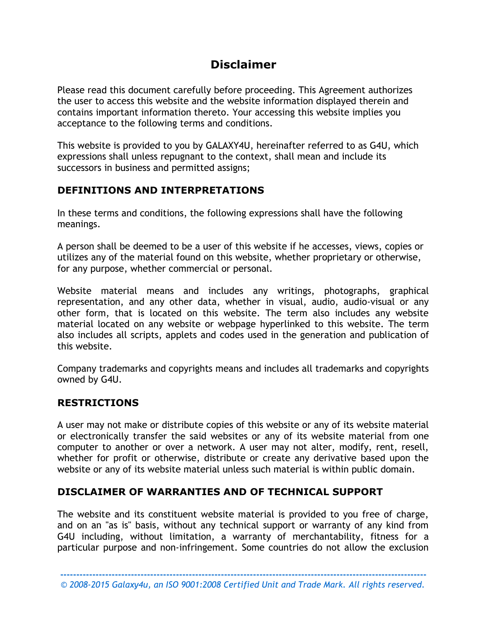# **Disclaimer**

Please read this document carefully before proceeding. This Agreement authorizes the user to access this website and the website information displayed therein and contains important information thereto. Your accessing this website implies you acceptance to the following terms and conditions.

This website is provided to you by GALAXY4U, hereinafter referred to as G4U, which expressions shall unless repugnant to the context, shall mean and include its successors in business and permitted assigns;

# **DEFINITIONS AND INTERPRETATIONS**

In these terms and conditions, the following expressions shall have the following meanings.

A person shall be deemed to be a user of this website if he accesses, views, copies or utilizes any of the material found on this website, whether proprietary or otherwise, for any purpose, whether commercial or personal.

Website material means and includes any writings, photographs, graphical representation, and any other data, whether in visual, audio, audio-visual or any other form, that is located on this website. The term also includes any website material located on any website or webpage hyperlinked to this website. The term also includes all scripts, applets and codes used in the generation and publication of this website.

Company trademarks and copyrights means and includes all trademarks and copyrights owned by G4U.

# **RESTRICTIONS**

A user may not make or distribute copies of this website or any of its website material or electronically transfer the said websites or any of its website material from one computer to another or over a network. A user may not alter, modify, rent, resell, whether for profit or otherwise, distribute or create any derivative based upon the website or any of its website material unless such material is within public domain.

# **DISCLAIMER OF WARRANTIES AND OF TECHNICAL SUPPORT**

The website and its constituent website material is provided to you free of charge, and on an "as is" basis, without any technical support or warranty of any kind from G4U including, without limitation, a warranty of merchantability, fitness for a particular purpose and non-infringement. Some countries do not allow the exclusion

**------------------------------------------------------------------------------------------------------------------** *© 2008-2015 Galaxy4u, an ISO 9001:2008 Certified Unit and Trade Mark. All rights reserved.*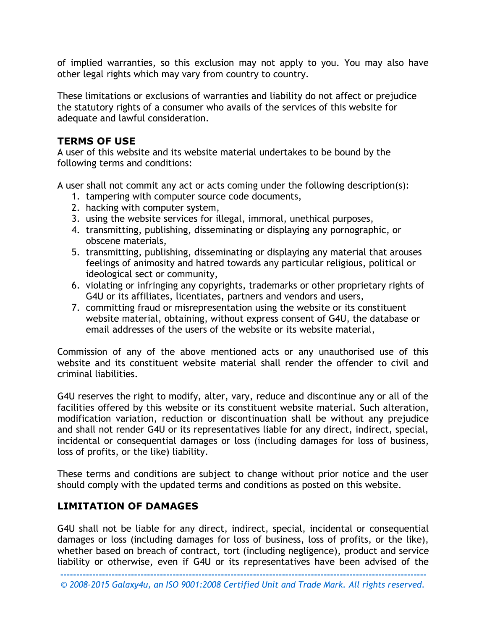of implied warranties, so this exclusion may not apply to you. You may also have other legal rights which may vary from country to country.

These limitations or exclusions of warranties and liability do not affect or prejudice the statutory rights of a consumer who avails of the services of this website for adequate and lawful consideration.

### **TERMS OF USE**

A user of this website and its website material undertakes to be bound by the following terms and conditions:

A user shall not commit any act or acts coming under the following description(s):

- 1. tampering with computer source code documents,
- 2. hacking with computer system,
- 3. using the website services for illegal, immoral, unethical purposes,
- 4. transmitting, publishing, disseminating or displaying any pornographic, or obscene materials,
- 5. transmitting, publishing, disseminating or displaying any material that arouses feelings of animosity and hatred towards any particular religious, political or ideological sect or community,
- 6. violating or infringing any copyrights, trademarks or other proprietary rights of G4U or its affiliates, licentiates, partners and vendors and users,
- 7. committing fraud or misrepresentation using the website or its constituent website material, obtaining, without express consent of G4U, the database or email addresses of the users of the website or its website material,

Commission of any of the above mentioned acts or any unauthorised use of this website and its constituent website material shall render the offender to civil and criminal liabilities.

G4U reserves the right to modify, alter, vary, reduce and discontinue any or all of the facilities offered by this website or its constituent website material. Such alteration, modification variation, reduction or discontinuation shall be without any prejudice and shall not render G4U or its representatives liable for any direct, indirect, special, incidental or consequential damages or loss (including damages for loss of business, loss of profits, or the like) liability.

These terms and conditions are subject to change without prior notice and the user should comply with the updated terms and conditions as posted on this website.

# **LIMITATION OF DAMAGES**

G4U shall not be liable for any direct, indirect, special, incidental or consequential damages or loss (including damages for loss of business, loss of profits, or the like), whether based on breach of contract, tort (including negligence), product and service liability or otherwise, even if G4U or its representatives have been advised of the

**------------------------------------------------------------------------------------------------------------------**

*© 2008-2015 Galaxy4u, an ISO 9001:2008 Certified Unit and Trade Mark. All rights reserved.*